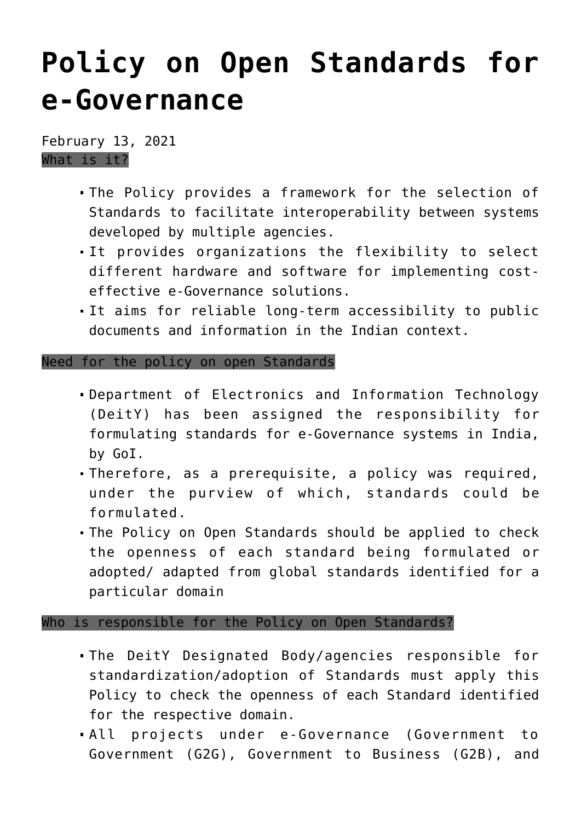## **[Policy on Open Standards for](https://journalsofindia.com/policy-on-open-standards-for-e-governance/) [e-Governance](https://journalsofindia.com/policy-on-open-standards-for-e-governance/)**

February 13, 2021 What is it?

- The Policy provides a framework for the selection of Standards to facilitate interoperability between systems developed by multiple agencies.
- It provides organizations the flexibility to select different hardware and software for implementing costeffective e-Governance solutions.
- It aims for reliable long-term accessibility to public documents and information in the Indian context.

## Need for the policy on open Standards

- Department of Electronics and Information Technology (DeitY) has been assigned the responsibility for formulating standards for e-Governance systems in India, by GoI.
- Therefore, as a prerequisite, a policy was required, under the purview of which, standards could be formulated.
- The Policy on Open Standards should be applied to check the openness of each standard being formulated or adopted/ adapted from global standards identified for a particular domain

## Who is responsible for the Policy on Open Standards?

- The DeitY Designated Body/agencies responsible for standardization/adoption of Standards must apply this Policy to check the openness of each Standard identified for the respective domain.
- All projects under e-Governance (Government to Government (G2G), Government to Business (G2B), and